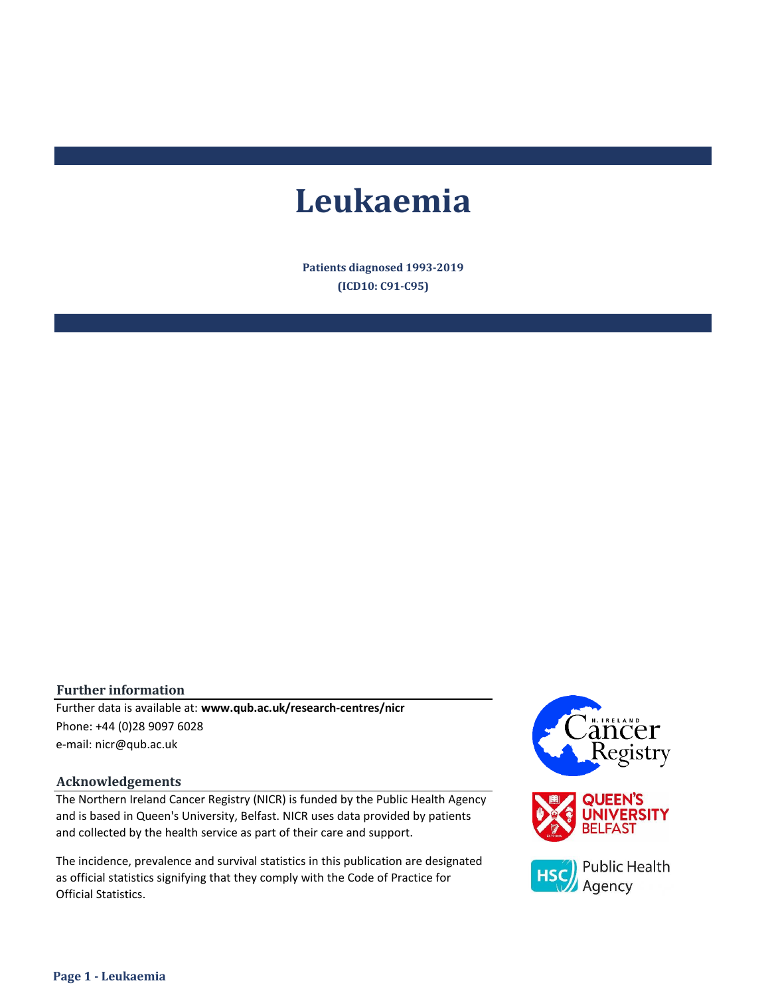# **Leukaemia**

**Patients diagnosed 1993-2019 (ICD10: C91-C95)**

#### **Further information**

e-mail: nicr@qub.ac.uk Further data is available at: **www.qub.ac.uk/research-centres/nicr** Phone: +44 (0)28 9097 6028

#### **Acknowledgements**

The Northern Ireland Cancer Registry (NICR) is funded by the Public Health Agency and is based in Queen's University, Belfast. NICR uses data provided by patients and collected by the health service as part of their care and support.

The incidence, prevalence and survival statistics in this publication are designated as official statistics signifying that they comply with the Code of Practice for Official Statistics.

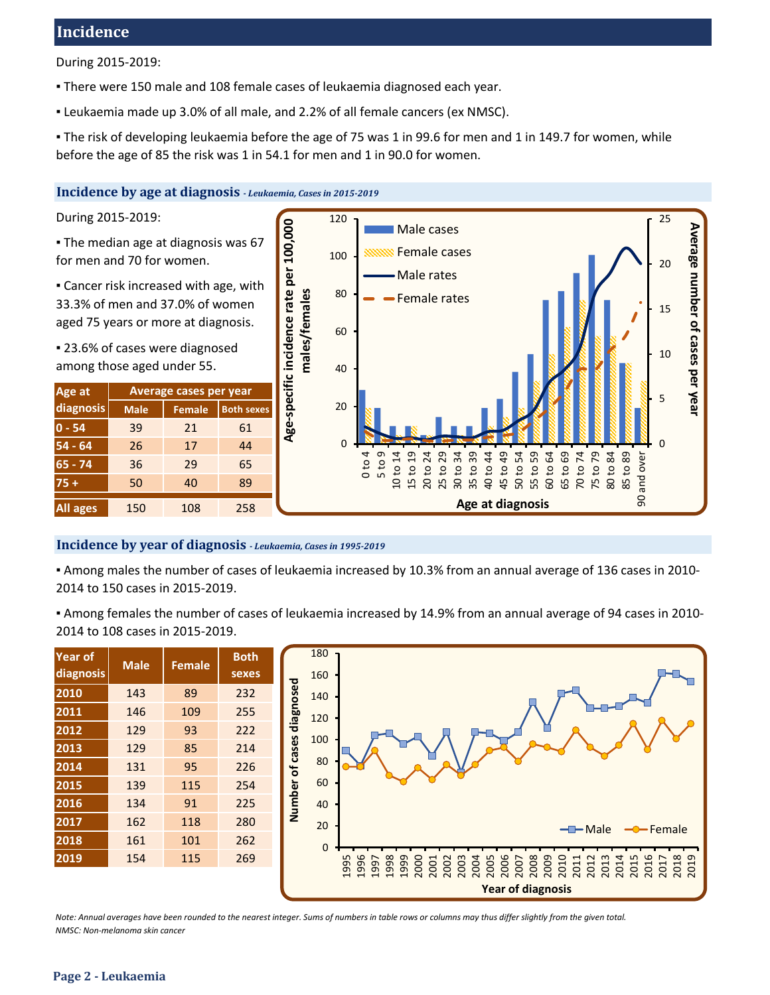# **Incidence**

During 2015-2019:

- **There were 150 male and 108 female cases of leukaemia diagnosed each year.**
- Leukaemia made up 3.0% of all male, and 2.2% of all female cancers (ex NMSC).

▪ The risk of developing leukaemia before the age of 75 was 1 in 99.6 for men and 1 in 149.7 for women, while before the age of 85 the risk was 1 in 54.1 for men and 1 in 90.0 for women.

#### **Incidence by age at diagnosis** *- Leukaemia, Cases in 2015-2019*

During 2015-2019:

**The median age at diagnosis was 67** for men and 70 for women.

**Example 2** Cancer risk increased with age, with 33.3% of men and 37.0% of women aged 75 years or more at diagnosis.

■ 23.6% of cases were diagnosed among those aged under 55.

| Age at          | Average cases per year |               |                   |  |  |  |  |  |
|-----------------|------------------------|---------------|-------------------|--|--|--|--|--|
| diagnosis       | <b>Male</b>            | <b>Female</b> | <b>Both sexes</b> |  |  |  |  |  |
| $0 - 54$        | 39                     | 21            | 61                |  |  |  |  |  |
| $54 - 64$       | 26                     | 17            | 44                |  |  |  |  |  |
| $65 - 74$       | 36                     | 29            | 65                |  |  |  |  |  |
| $75+$           | 50                     | 40            | 89                |  |  |  |  |  |
| <b>All ages</b> | 150                    | 108           | 258               |  |  |  |  |  |



#### **Incidence by year of diagnosis** *- Leukaemia, Cases in 1995-2019*

▪ Among males the number of cases of leukaemia increased by 10.3% from an annual average of 136 cases in 2010- 2014 to 150 cases in 2015-2019.

▪ Among females the number of cases of leukaemia increased by 14.9% from an annual average of 94 cases in 2010- 2014 to 108 cases in 2015-2019.

| <b>Year of</b><br>diagnosis | <b>Male</b> | <b>Female</b> | <b>Both</b><br>sexes |
|-----------------------------|-------------|---------------|----------------------|
| 2010                        | 143         | 89            | 232                  |
| 2011                        | 146         | 109           | 255                  |
| 2012                        | 129         | 93            | 222                  |
| 2013                        | 129         | 85            | 214                  |
| 2014                        | 131         | 95            | 226                  |
| 2015                        | 139         | 115           | 254                  |
| 2016                        | 134         | 91            | 225                  |
| 2017                        | 162         | 118           | 280                  |
| 2018                        | 161         | 101           | 262                  |
| 2019                        | 154         | 115           | 269                  |



*Note: Annual averages have been rounded to the nearest integer. Sums of numbers in table rows or columns may thus differ slightly from the given total. NMSC: Non-melanoma skin cancer*

#### **Page 2 - Leukaemia**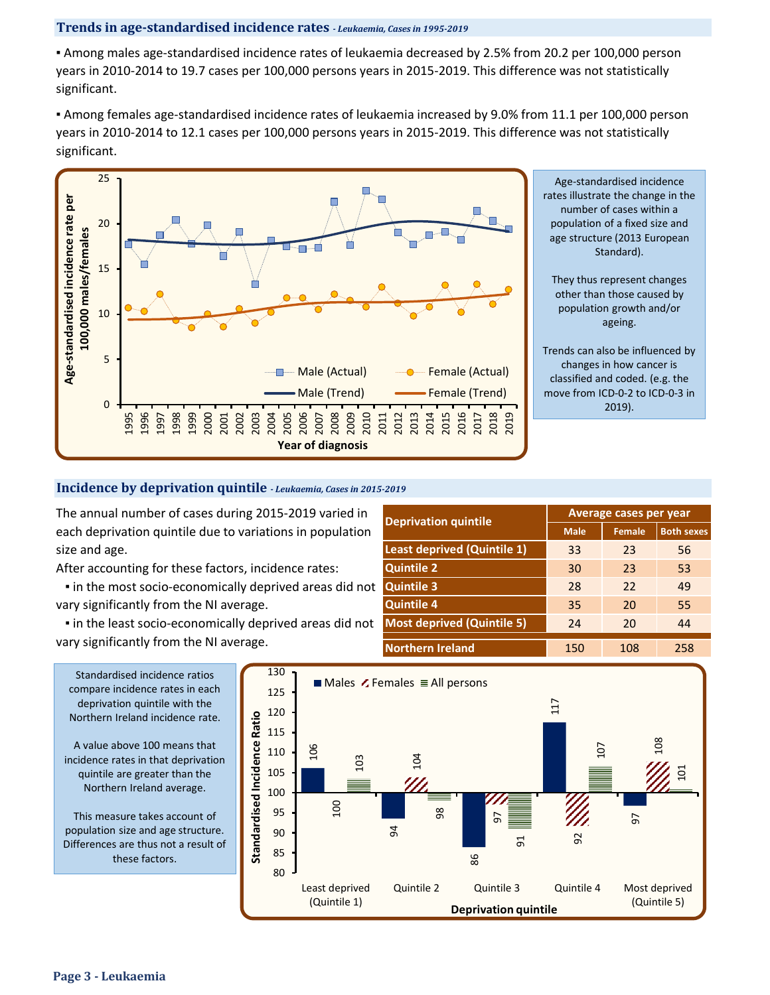#### **Trends in age-standardised incidence rates** *- Leukaemia, Cases in 1995-2019*

▪ Among males age-standardised incidence rates of leukaemia decreased by 2.5% from 20.2 per 100,000 person years in 2010-2014 to 19.7 cases per 100,000 persons years in 2015-2019. This difference was not statistically significant.

▪ Among females age-standardised incidence rates of leukaemia increased by 9.0% from 11.1 per 100,000 person years in 2010-2014 to 12.1 cases per 100,000 persons years in 2015-2019. This difference was not statistically significant.



Age-standardised incidence rates illustrate the change in the number of cases within a population of a fixed size and age structure (2013 European Standard).

They thus represent changes other than those caused by population growth and/or ageing.

Trends can also be influenced by changes in how cancer is classified and coded. (e.g. the move from ICD-0-2 to ICD-0-3 in 2019).

# **Incidence by deprivation quintile** *- Leukaemia, Cases in 2015-2019*

The annual number of cases during 2015-2019 varied in each deprivation quintile due to variations in population size and age.

After accounting for these factors, incidence rates:

 ▪ in the most socio-economically deprived areas did not vary significantly from the NI average.

 ▪ in the least socio-economically deprived areas did not vary significantly from the NI average.

| <b>Deprivation quintile</b>        |             | <b>Average cases per year</b> |                   |
|------------------------------------|-------------|-------------------------------|-------------------|
|                                    | <b>Male</b> | <b>Female</b>                 | <b>Both sexes</b> |
| <b>Least deprived (Quintile 1)</b> | 33          | 23                            | 56                |
| <b>Quintile 2</b>                  | 30          | 23                            | 53                |
| <b>Quintile 3</b>                  | 28          | 22                            | 49                |
| <b>Quintile 4</b>                  | 35          | 20                            | 55                |
| <b>Most deprived (Quintile 5)</b>  | 24          | 20                            | 44                |
| <b>Northern Ireland</b>            | 150         | 108                           | 258               |

compare incidence rates in each deprivation quintile with the Northern Ireland incidence rate.

A value above 100 means that incidence rates in that deprivation quintile are greater than the Northern Ireland average.

This measure takes account of population size and age structure. Differences are thus not a result of these factors.

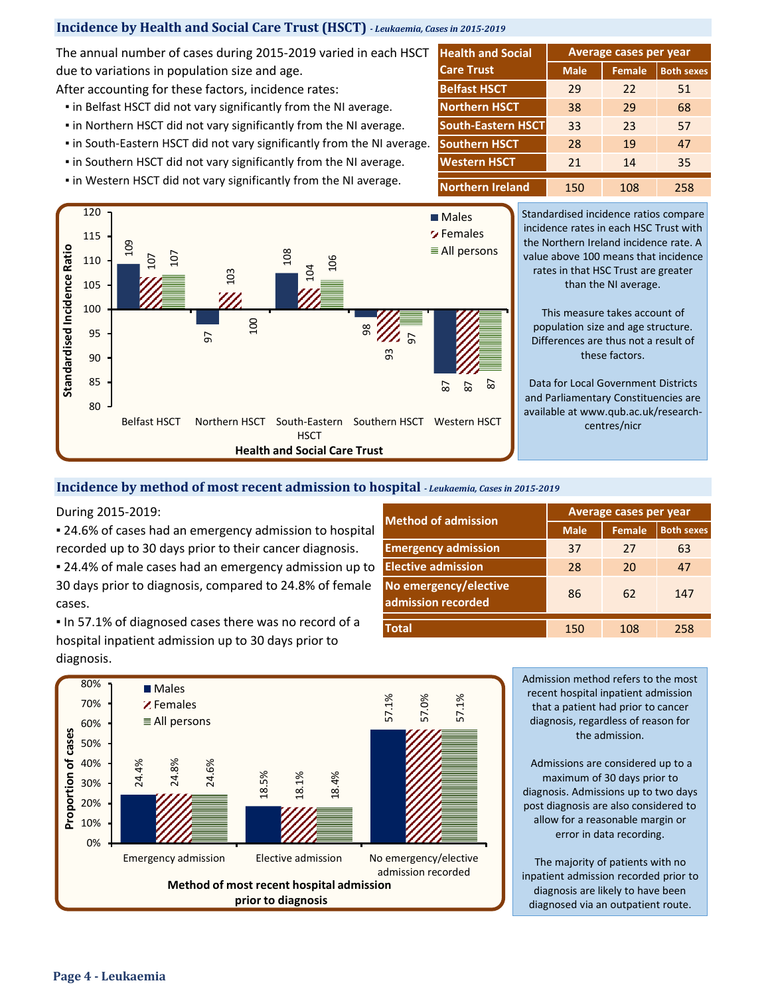## **Incidence by Health and Social Care Trust (HSCT)** *- Leukaemia, Cases in 2015-2019*

The annual number of cases during 2015-2019 varied in each HSCT due to variations in population size and age.

After accounting for these factors, incidence rates:

- **.** in Belfast HSCT did not vary significantly from the NI average.
- **.** in Northern HSCT did not vary significantly from the NI average.
- in South-Eastern HSCT did not vary significantly from the NI average.
- **.** in Southern HSCT did not vary significantly from the NI average.
- **.** in Western HSCT did not vary significantly from the NI average.

| <b>Health and Social</b>  | Average cases per year |               |                   |  |  |  |  |
|---------------------------|------------------------|---------------|-------------------|--|--|--|--|
| <b>Care Trust</b>         | <b>Male</b>            | <b>Female</b> | <b>Both sexes</b> |  |  |  |  |
| <b>Belfast HSCT</b>       | 29                     | 22            | 51                |  |  |  |  |
| <b>Northern HSCT</b>      | 38                     | 29            | 68                |  |  |  |  |
| <b>South-Eastern HSCT</b> | 33                     | 23            | 57                |  |  |  |  |
| <b>Southern HSCT</b>      | 28                     | 19            | 47                |  |  |  |  |
| <b>Western HSCT</b>       | 21                     | 14            | 35                |  |  |  |  |
| <b>Northern Ireland</b>   | 150                    | 108           | 258               |  |  |  |  |



Standardised incidence ratios compare incidence rates in each HSC Trust with the Northern Ireland incidence rate. A value above 100 means that incidence rates in that HSC Trust are greater than the NI average.

This measure takes account of population size and age structure. Differences are thus not a result of these factors.

Data for Local Government Districts and Parliamentary Constituencies are available at www.qub.ac.uk/researchcentres/nicr

#### **Incidence by method of most recent admission to hospital** *- Leukaemia, Cases in 2015-2019*

During 2015-2019:

■ 24.6% of cases had an emergency admission to hospital

■ 24.4% of male cases had an emergency admission up to 30 days prior to diagnosis, compared to 24.8% of female cases.

▪ In 57.1% of diagnosed cases there was no record of a hospital inpatient admission up to 30 days prior to diagnosis.

| <b>Method of admission</b>                  |             | Average cases per year |                   |
|---------------------------------------------|-------------|------------------------|-------------------|
|                                             | <b>Male</b> | <b>Female</b>          | <b>Both sexes</b> |
| <b>Emergency admission</b>                  | 37          | 27                     | 63                |
| <b>Elective admission</b>                   | 28          | 20                     | 47                |
| No emergency/elective<br>admission recorded | 86          | 62                     | 147               |
| <b>Total</b>                                | 150         | 108                    | 258               |



Admission method refers to the most recent hospital inpatient admission that a patient had prior to cancer diagnosis, regardless of reason for the admission.

Admissions are considered up to a maximum of 30 days prior to diagnosis. Admissions up to two days post diagnosis are also considered to allow for a reasonable margin or error in data recording.

The majority of patients with no inpatient admission recorded prior to diagnosis are likely to have been diagnosed via an outpatient route.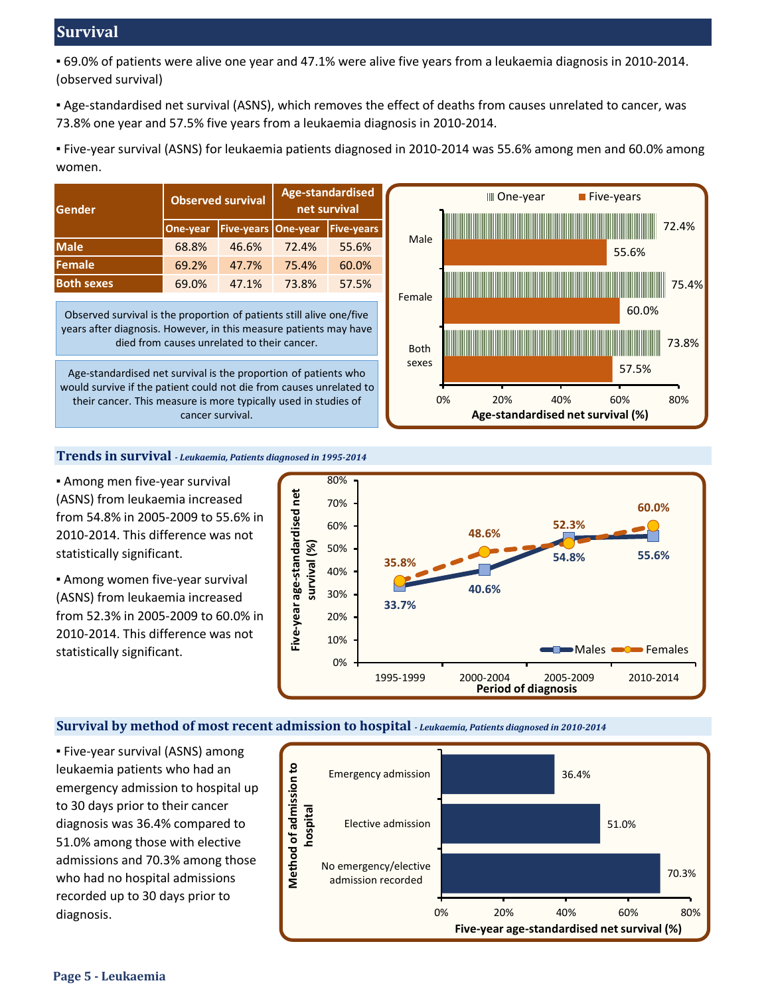# **Survival**

▪ 69.0% of patients were alive one year and 47.1% were alive five years from a leukaemia diagnosis in 2010-2014. (observed survival)

▪ Age-standardised net survival (ASNS), which removes the effect of deaths from causes unrelated to cancer, was 73.8% one year and 57.5% five years from a leukaemia diagnosis in 2010-2014.

▪ Five-year survival (ASNS) for leukaemia patients diagnosed in 2010-2014 was 55.6% among men and 60.0% among women.

| Gender            |          | <b>Observed survival</b>   | <b>Age-standardised</b><br>net survival |                   |  |  |
|-------------------|----------|----------------------------|-----------------------------------------|-------------------|--|--|
|                   | One-year | <b>Five-years One-year</b> |                                         | <b>Five-years</b> |  |  |
| <b>Male</b>       | 68.8%    | 46.6%                      | 72.4%                                   | 55.6%             |  |  |
| Female            | 69.2%    | 47.7%                      | 75.4%                                   | 60.0%             |  |  |
| <b>Both sexes</b> | 69.0%    | 47.1%                      | 73.8%                                   | 57.5%             |  |  |

Observed survival is the proportion of patients still alive one/five years after diagnosis. However, in this measure patients may have died from causes unrelated to their cancer.

Age-standardised net survival is the proportion of patients who would survive if the patient could not die from causes unrelated to their cancer. This measure is more typically used in studies of cancer survival.



#### **Trends in survival** *- Leukaemia, Patients diagnosed in 1995-2014*

**B** Among men five-year survival (ASNS) from leukaemia increased from 54.8% in 2005-2009 to 55.6% in 2010-2014. This difference was not statistically significant.

**Among women five-year survival** (ASNS) from leukaemia increased from 52.3% in 2005-2009 to 60.0% in 2010-2014. This difference was not statistically significant.



#### **Survival by method of most recent admission to hospital** *- Leukaemia, Patients diagnosed in 2010-2014*

▪ Five-year survival (ASNS) among leukaemia patients who had an emergency admission to hospital up to 30 days prior to their cancer diagnosis was 36.4% compared to 51.0% among those with elective admissions and 70.3% among those who had no hospital admissions recorded up to 30 days prior to diagnosis.

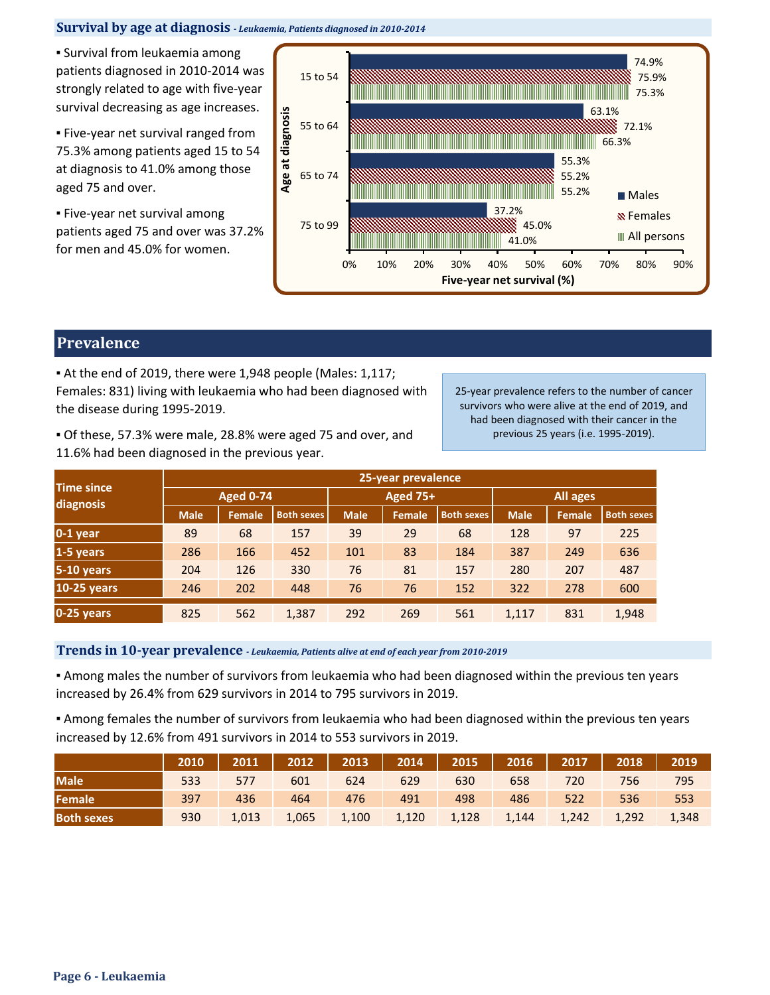#### **Survival by age at diagnosis** *- Leukaemia, Patients diagnosed in 2010-2014*

**• Survival from leukaemia among** patients diagnosed in 2010-2014 was strongly related to age with five-year survival decreasing as age increases.

**Eive-year net survival ranged from** 75.3% among patients aged 15 to 54 at diagnosis to 41.0% among those aged 75 and over.

**Eive-year net survival among** patients aged 75 and over was 37.2% for men and 45.0% for women.



# **Prevalence**

▪ At the end of 2019, there were 1,948 people (Males: 1,117; Females: 831) living with leukaemia who had been diagnosed with the disease during 1995-2019.

25-year prevalence refers to the number of cancer survivors who were alive at the end of 2019, and had been diagnosed with their cancer in the previous 25 years (i.e. 1995-2019).

▪ Of these, 57.3% were male, 28.8% were aged 75 and over, and 11.6% had been diagnosed in the previous year.

|                                | 25-year prevalence |               |                   |             |               |                   |             |        |                   |  |
|--------------------------------|--------------------|---------------|-------------------|-------------|---------------|-------------------|-------------|--------|-------------------|--|
| <b>Time since</b><br>diagnosis | <b>Aged 0-74</b>   |               |                   |             | Aged 75+      |                   | All ages    |        |                   |  |
|                                | <b>Male</b>        | <b>Female</b> | <b>Both sexes</b> | <b>Male</b> | <b>Female</b> | <b>Both sexes</b> | <b>Male</b> | Female | <b>Both sexes</b> |  |
| $0-1$ year                     | 89                 | 68            | 157               | 39          | 29            | 68                | 128         | 97     | 225               |  |
| 1-5 years                      | 286                | 166           | 452               | 101         | 83            | 184               | 387         | 249    | 636               |  |
| 5-10 years                     | 204                | 126           | 330               | 76          | 81            | 157               | 280         | 207    | 487               |  |
| <b>10-25 years</b>             | 246                | 202           | 448               | 76          | 76            | 152               | 322         | 278    | 600               |  |
| 0-25 years                     | 825                | 562           | 1,387             | 292         | 269           | 561               | 1,117       | 831    | 1,948             |  |

## **Trends in 10-year prevalence** *- Leukaemia, Patients alive at end of each year from 2010-2019*

▪ Among males the number of survivors from leukaemia who had been diagnosed within the previous ten years increased by 26.4% from 629 survivors in 2014 to 795 survivors in 2019.

▪ Among females the number of survivors from leukaemia who had been diagnosed within the previous ten years increased by 12.6% from 491 survivors in 2014 to 553 survivors in 2019.

|                   | 2010 |       |       |       | 2011   2012   2013   2014   2015   2016 |       |       | $\begin{array}{ c c c c c }\n\hline\n2017 & \text{ } \end{array}$ | 2018  | 2019  |
|-------------------|------|-------|-------|-------|-----------------------------------------|-------|-------|-------------------------------------------------------------------|-------|-------|
| <b>Male</b>       | 533  | 577   | 601   | 624   | 629                                     | 630   | 658   | 720                                                               | 756   | 795   |
| Female            | 397  | 436   | 464   | 476   | 491                                     | 498   | 486   | 522                                                               | 536   | 553   |
| <b>Both sexes</b> | 930  | 1,013 | 1,065 | 1,100 | 1,120                                   | 1,128 | 1,144 | 1,242                                                             | 1,292 | 1,348 |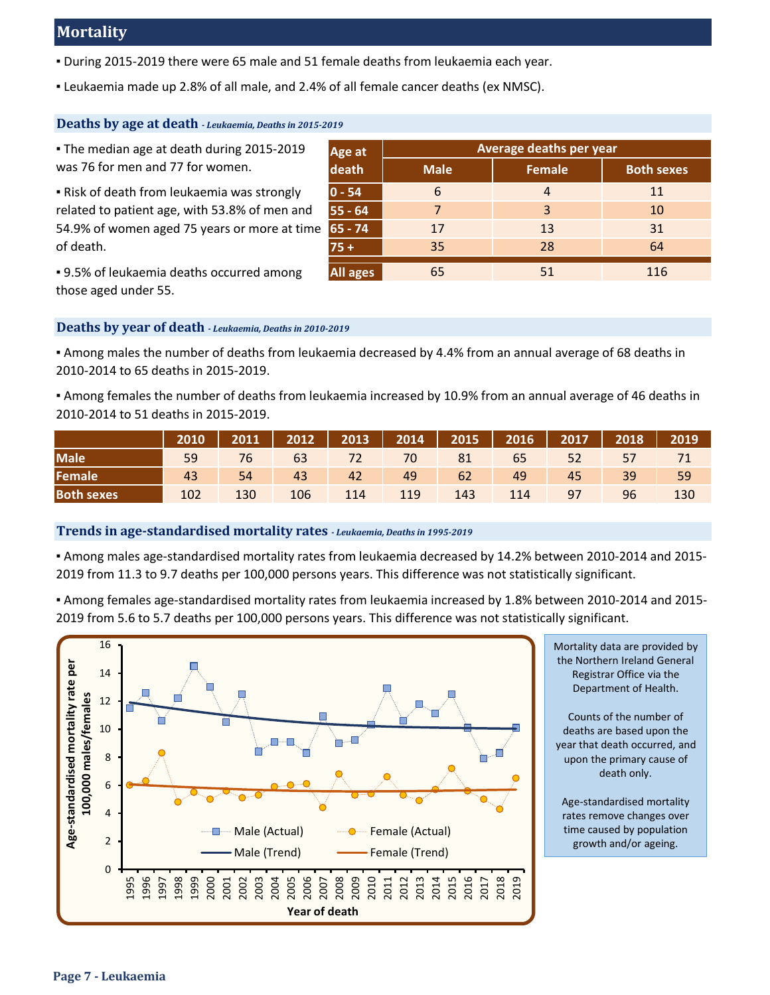# **Mortality**

- During 2015-2019 there were 65 male and 51 female deaths from leukaemia each year.
- Leukaemia made up 2.8% of all male, and 2.4% of all female cancer deaths (ex NMSC).

#### **Deaths by age at death** *- Leukaemia, Deaths in 2015-2019*

| The median age at death during 2015-2019             | Age at          | Average deaths per year |               |                   |  |  |  |
|------------------------------------------------------|-----------------|-------------------------|---------------|-------------------|--|--|--|
| was 76 for men and 77 for women.                     | death           | <b>Male</b>             | <b>Female</b> | <b>Both sexes</b> |  |  |  |
| Risk of death from leukaemia was strongly            | $ 0 - 54 $      | 6                       | 4             | 11                |  |  |  |
| related to patient age, with 53.8% of men and        | $55 - 64$       | 7                       | 3             | 10                |  |  |  |
| 54.9% of women aged 75 years or more at time 65 - 74 |                 | 17                      | -13           | 31                |  |  |  |
| of death.                                            | $75 +$          | 35                      | -28           | 64                |  |  |  |
| . 9.5% of leukaemia deaths occurred among            | <b>All ages</b> | 65                      | 51            | 116               |  |  |  |

▪ 9.5% of leukaemia deaths occurred among those aged under 55.

### **Deaths by year of death** *- Leukaemia, Deaths in 2010-2019*

▪ Among males the number of deaths from leukaemia decreased by 4.4% from an annual average of 68 deaths in 2010-2014 to 65 deaths in 2015-2019.

▪ Among females the number of deaths from leukaemia increased by 10.9% from an annual average of 46 deaths in 2010-2014 to 51 deaths in 2015-2019.

|                   | l 2010 l' |     |     |     | 2011   2012   2013   2014   2015   2016   2017   2018   2019 |     |     |    |     |     |
|-------------------|-----------|-----|-----|-----|--------------------------------------------------------------|-----|-----|----|-----|-----|
| <b>Male</b>       | 59        |     |     |     | 76 63 72 70 81 65 52 57 71                                   |     |     |    |     |     |
| Female            | 43        | 54  | 43  |     | 42 49 62 49                                                  |     |     | 45 | 39' | 59  |
| <b>Both sexes</b> | 102       | 130 | 106 | 114 | 119                                                          | 143 | 114 | 97 | 96  | 130 |

#### **Trends in age-standardised mortality rates** *- Leukaemia, Deaths in 1995-2019*

▪ Among males age-standardised mortality rates from leukaemia decreased by 14.2% between 2010-2014 and 2015- 2019 from 11.3 to 9.7 deaths per 100,000 persons years. This difference was not statistically significant.

▪ Among females age-standardised mortality rates from leukaemia increased by 1.8% between 2010-2014 and 2015- 2019 from 5.6 to 5.7 deaths per 100,000 persons years. This difference was not statistically significant.



Mortality data are provided by the Northern Ireland General Registrar Office via the Department of Health.

Counts of the number of deaths are based upon the year that death occurred, and upon the primary cause of death only.

Age-standardised mortality rates remove changes over time caused by population growth and/or ageing.